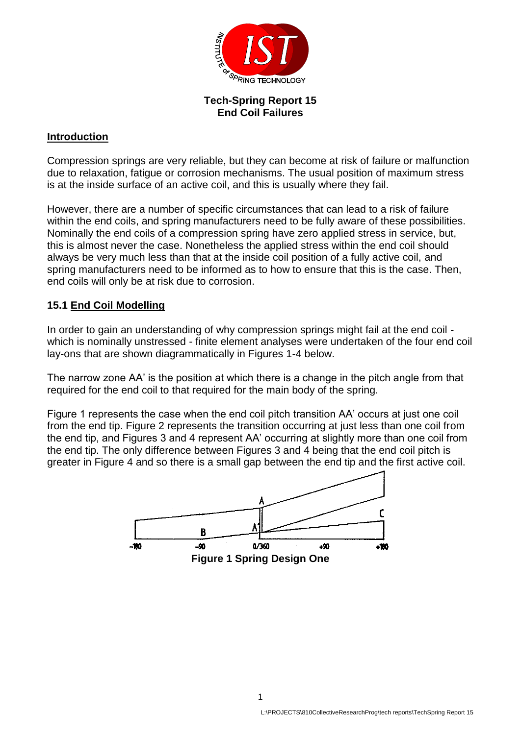

## **Tech-Spring Report 15 End Coil Failures**

## **Introduction**

Compression springs are very reliable, but they can become at risk of failure or malfunction due to relaxation, fatigue or corrosion mechanisms. The usual position of maximum stress is at the inside surface of an active coil, and this is usually where they fail.

However, there are a number of specific circumstances that can lead to a risk of failure within the end coils, and spring manufacturers need to be fully aware of these possibilities. Nominally the end coils of a compression spring have zero applied stress in service, but, this is almost never the case. Nonetheless the applied stress within the end coil should always be very much less than that at the inside coil position of a fully active coil, and spring manufacturers need to be informed as to how to ensure that this is the case. Then, end coils will only be at risk due to corrosion.

## **15.1 End Coil Modelling**

In order to gain an understanding of why compression springs might fail at the end coil which is nominally unstressed - finite element analyses were undertaken of the four end coil lay-ons that are shown diagrammatically in Figures 1-4 below.

The narrow zone AA' is the position at which there is a change in the pitch angle from that required for the end coil to that required for the main body of the spring.

Figure 1 represents the case when the end coil pitch transition AA' occurs at just one coil from the end tip. Figure 2 represents the transition occurring at just less than one coil from the end tip, and Figures 3 and 4 represent AA' occurring at slightly more than one coil from the end tip. The only difference between Figures 3 and 4 being that the end coil pitch is greater in Figure 4 and so there is a small gap between the end tip and the first active coil.

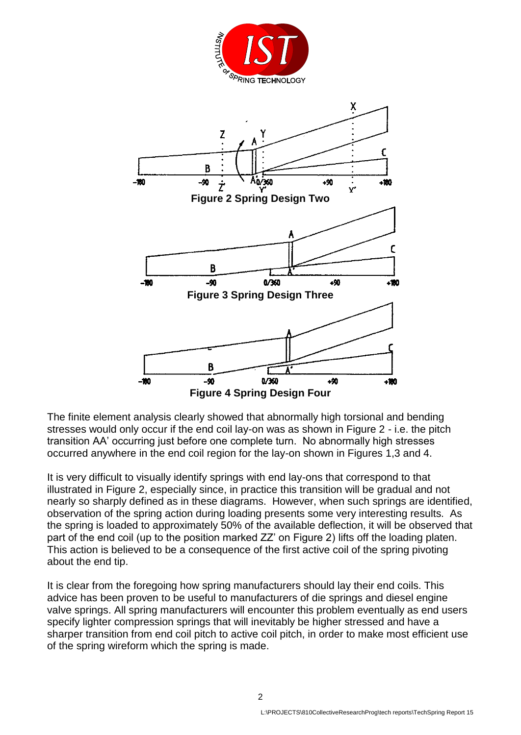

The finite element analysis clearly showed that abnormally high torsional and bending stresses would only occur if the end coil lay-on was as shown in Figure 2 - i.e. the pitch transition AA' occurring just before one complete turn. No abnormally high stresses occurred anywhere in the end coil region for the lay-on shown in Figures 1,3 and 4.

It is very difficult to visually identify springs with end lay-ons that correspond to that illustrated in Figure 2, especially since, in practice this transition will be gradual and not nearly so sharply defined as in these diagrams. However, when such springs are identified, observation of the spring action during loading presents some very interesting results. As the spring is loaded to approximately 50% of the available deflection, it will be observed that part of the end coil (up to the position marked ZZ' on Figure 2) lifts off the loading platen. This action is believed to be a consequence of the first active coil of the spring pivoting about the end tip.

It is clear from the foregoing how spring manufacturers should lay their end coils. This advice has been proven to be useful to manufacturers of die springs and diesel engine valve springs. All spring manufacturers will encounter this problem eventually as end users specify lighter compression springs that will inevitably be higher stressed and have a sharper transition from end coil pitch to active coil pitch, in order to make most efficient use of the spring wireform which the spring is made.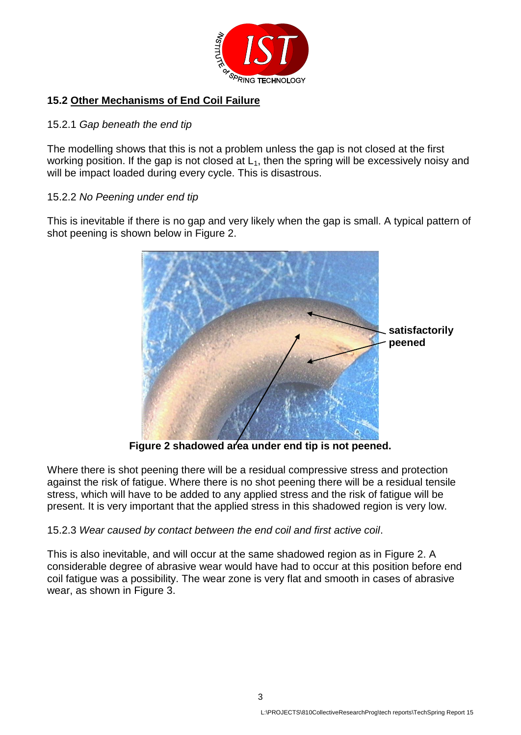

# **15.2 Other Mechanisms of End Coil Failure**

## 15.2.1 *Gap beneath the end tip*

The modelling shows that this is not a problem unless the gap is not closed at the first working position. If the gap is not closed at  $L_1$ , then the spring will be excessively noisy and will be impact loaded during every cycle. This is disastrous.

## 15.2.2 *No Peening under end tip*

This is inevitable if there is no gap and very likely when the gap is small. A typical pattern of shot peening is shown below in Figure 2.



**Figure 2 shadowed area under end tip is not peened.**

Where there is shot peening there will be a residual compressive stress and protection against the risk of fatigue. Where there is no shot peening there will be a residual tensile stress, which will have to be added to any applied stress and the risk of fatigue will be present. It is very important that the applied stress in this shadowed region is very low.

## 15.2.3 *Wear caused by contact between the end coil and first active coil*.

This is also inevitable, and will occur at the same shadowed region as in Figure 2. A considerable degree of abrasive wear would have had to occur at this position before end coil fatigue was a possibility. The wear zone is very flat and smooth in cases of abrasive wear, as shown in Figure 3.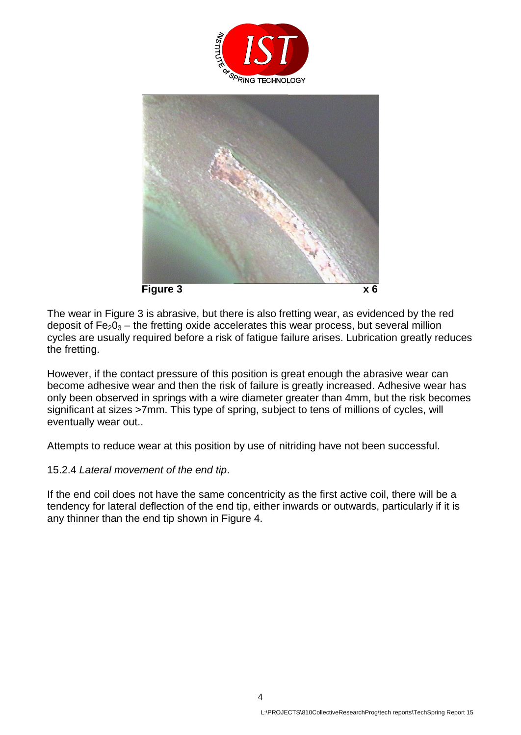



The wear in Figure 3 is abrasive, but there is also fretting wear, as evidenced by the red deposit of  $Fe<sub>2</sub>O<sub>3</sub>$  – the fretting oxide accelerates this wear process, but several million cycles are usually required before a risk of fatigue failure arises. Lubrication greatly reduces the fretting.

However, if the contact pressure of this position is great enough the abrasive wear can become adhesive wear and then the risk of failure is greatly increased. Adhesive wear has only been observed in springs with a wire diameter greater than 4mm, but the risk becomes significant at sizes >7mm. This type of spring, subject to tens of millions of cycles, will eventually wear out..

Attempts to reduce wear at this position by use of nitriding have not been successful.

### 15.2.4 *Lateral movement of the end tip*.

If the end coil does not have the same concentricity as the first active coil, there will be a tendency for lateral deflection of the end tip, either inwards or outwards, particularly if it is any thinner than the end tip shown in Figure 4.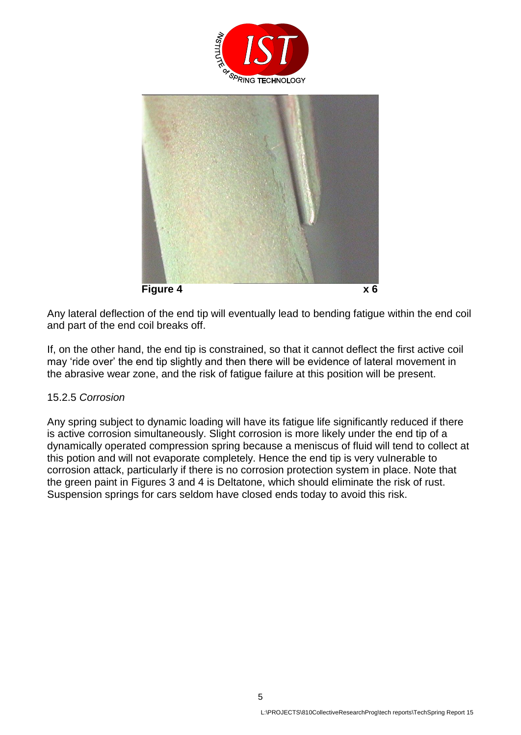



Any lateral deflection of the end tip will eventually lead to bending fatigue within the end coil and part of the end coil breaks off.

If, on the other hand, the end tip is constrained, so that it cannot deflect the first active coil may 'ride over' the end tip slightly and then there will be evidence of lateral movement in the abrasive wear zone, and the risk of fatigue failure at this position will be present.

### 15.2.5 *Corrosion*

Any spring subject to dynamic loading will have its fatigue life significantly reduced if there is active corrosion simultaneously. Slight corrosion is more likely under the end tip of a dynamically operated compression spring because a meniscus of fluid will tend to collect at this potion and will not evaporate completely. Hence the end tip is very vulnerable to corrosion attack, particularly if there is no corrosion protection system in place. Note that the green paint in Figures 3 and 4 is Deltatone, which should eliminate the risk of rust. Suspension springs for cars seldom have closed ends today to avoid this risk.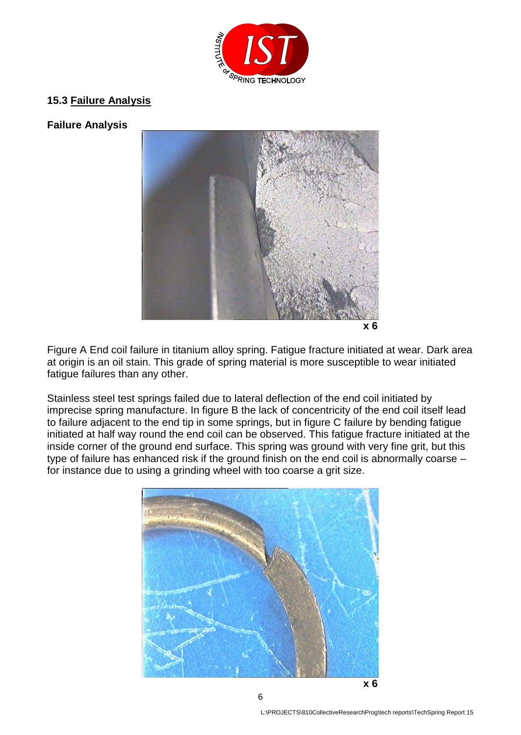

## **15.3 Failure Analysis**

### **Failure Analysis**



Figure A End coil failure in titanium alloy spring. Fatigue fracture initiated at wear. Dark area at origin is an oil stain. This grade of spring material is more susceptible to wear initiated fatigue failures than any other.

Stainless steel test springs failed due to lateral deflection of the end coil initiated by imprecise spring manufacture. In figure B the lack of concentricity of the end coil itself lead to failure adjacent to the end tip in some springs, but in figure C failure by bending fatigue initiated at half way round the end coil can be observed. This fatigue fracture initiated at the inside corner of the ground end surface. This spring was ground with very fine grit, but this type of failure has enhanced risk if the ground finish on the end coil is abnormally coarse – for instance due to using a grinding wheel with too coarse a grit size.